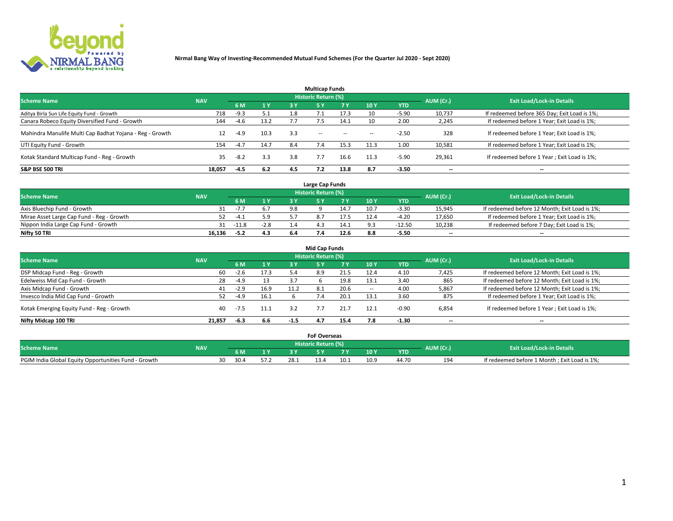

|                                                          |            |        |      |     | <b>Multicap Funds</b> |           |        |            |           |                                              |
|----------------------------------------------------------|------------|--------|------|-----|-----------------------|-----------|--------|------------|-----------|----------------------------------------------|
| <b>Scheme Name</b>                                       | <b>NAV</b> |        |      |     | Historic Return (%)   |           |        |            | AUM (Cr.) | <b>Exit Load/Lock-in Details</b>             |
|                                                          |            | 6 M    | 1 Y  | 3 Y | <b>5Y</b>             | <b>7Y</b> | 10Y    | <b>YTD</b> |           |                                              |
| Aditya Birla Sun Life Equity Fund - Growth               | 718        | $-9.3$ | 5.1  |     |                       | 17.3      | 10     | $-5.90$    | 10,737    | If redeemed before 365 Day; Exit Load is 1%; |
| Canara Robeco Equity Diversified Fund - Growth           | 144        | $-4.6$ | 13.2 |     |                       | 14.1      | 10     | 2.00       | 2,245     | If redeemed before 1 Year; Exit Load is 1%;  |
| Mahindra Manulife Multi Cap Badhat Yojana - Reg - Growth | 12         | $-4.9$ | 10.3 | 3.3 | $\sim$ $-$            | $\sim$    | $\sim$ | $-2.50$    | 328       | If redeemed before 1 Year; Exit Load is 1%;  |
| UTI Equity Fund - Growth                                 | 154        | $-4.7$ | 14.7 | 8.4 |                       | 15.3      | 11.3   | 1.00       | 10,581    | If redeemed before 1 Year; Exit Load is 1%;  |
| Kotak Standard Multicap Fund - Reg - Growth              | 35         | $-8.2$ | 3.3  | 3.8 |                       | 16.6      | 11.3   | $-5.90$    | 29,361    | If redeemed before 1 Year; Exit Load is 1%;  |
| <b>S&amp;P BSE 500 TRI</b>                               | 18.057     | $-4.5$ | 6.2  | 4.5 |                       | 13.8      | 8.7    | $-3.50$    | --        | $- -$                                        |

|                                           |            |             |        |     | Large Cap Funds     |      |      |            |                          |                                               |
|-------------------------------------------|------------|-------------|--------|-----|---------------------|------|------|------------|--------------------------|-----------------------------------------------|
| <b>Scheme Name</b>                        | <b>NAV</b> |             |        |     | Historic Return (%) |      |      |            | AUM (Cr.)                | <b>Exit Load/Lock-in Details</b>              |
|                                           |            | 6 M         | 1 Y    |     |                     |      | 10 Y | <b>YTD</b> |                          |                                               |
| Axis Bluechip Fund - Growth               |            | $-I$ .      |        | 9.8 |                     | 14.7 | 10.7 | $-3.30$    | 15,945                   | If redeemed before 12 Month; Exit Load is 1%; |
| Mirae Asset Large Cap Fund - Reg - Growth |            | $-4.1$      | 5.9    |     |                     | 17.5 |      | -4.20      | 17,650                   | If redeemed before 1 Year; Exit Load is 1%;   |
| Nippon India Large Cap Fund - Growth      |            | $31 - 11.8$ | $-2.8$ |     |                     | 14.1 |      | $-12.50$   | 10,238                   | If redeemed before 7 Day; Exit Load is 1%;    |
| Nifty 50 TRI                              | 16.136     | $-5.2$      | 4.3    |     |                     | 12.6 | 8.8  | -5.50      | $\overline{\phantom{a}}$ | $\overline{\phantom{a}}$                      |

| <b>Mid Cap Funds</b>                      |            |        |      |        |                            |      |            |            |                          |                                               |  |  |  |
|-------------------------------------------|------------|--------|------|--------|----------------------------|------|------------|------------|--------------------------|-----------------------------------------------|--|--|--|
| <b>Scheme Name</b>                        | <b>NAV</b> |        |      |        | <b>Historic Return (%)</b> |      |            |            | AUM (Cr.)                | <b>Exit Load/Lock-in Details</b>              |  |  |  |
|                                           |            | 6 M    | 1 Y  | 3 Y    |                            | 7 V  | <b>10Y</b> | <b>YTD</b> |                          |                                               |  |  |  |
| DSP Midcap Fund - Reg - Growth            | 60         | $-2.6$ | 17.3 | 5.4    | 8.9                        | 21.5 | 12.4       | 4.10       | 7,425                    | If redeemed before 12 Month; Exit Load is 1%; |  |  |  |
| Edelweiss Mid Cap Fund - Growth           | 28         | $-4.9$ | 13   | 3.7    |                            | 19.8 | 13.1       | 3.40       | 865                      | If redeemed before 12 Month; Exit Load is 1%; |  |  |  |
| Axis Midcap Fund - Growth                 | 41         | $-2.9$ | 16.9 | 11.2   | 8.1                        | 20.6 |            | 4.00       | 5,867                    | If redeemed before 12 Month; Exit Load is 1%; |  |  |  |
| Invesco India Mid Cap Fund - Growth       | 52         | $-4.9$ | 16.1 |        | 7.4                        | 20.1 | 13.1       | 3.60       | 875                      | If redeemed before 1 Year; Exit Load is 1%;   |  |  |  |
| Kotak Emerging Equity Fund - Reg - Growth | 40         | -7.5   | 11.1 | 3.2    |                            | 21.7 | 12.1       | $-0.90$    | 6,854                    | If redeemed before 1 Year; Exit Load is 1%;   |  |  |  |
| Nifty Midcap 100 TRI                      | 21.857     | -6.3   | 6.6  | $-1.5$ | 4.7                        | 15.4 |            | $-1.30$    | $\overline{\phantom{a}}$ | $\overline{\phantom{a}}$                      |  |  |  |

|                                                      |            |            |      | <b>FoF Overseas</b>        |      |      |            |           |                                              |
|------------------------------------------------------|------------|------------|------|----------------------------|------|------|------------|-----------|----------------------------------------------|
| <b>Scheme Name</b>                                   | <b>NAV</b> |            |      | <b>Historic Return (%)</b> |      |      |            | AUM (Cr.) | <b>Exit Load/Lock-in Details</b>             |
|                                                      |            | 6 M        |      |                            |      | 10Y  | <b>YTD</b> |           |                                              |
| PGIM India Global Equity Opportunities Fund - Growth |            | 30.4<br>30 | 28.1 | 13.4                       | 10.1 | 10.9 | 44.70      | 194       | If redeemed before 1 Month; Exit Load is 1%; |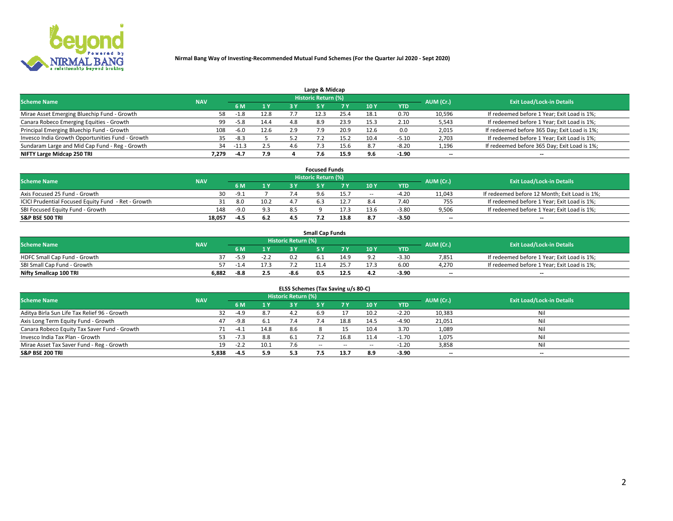

| Large & Midcap                                   |            |         |      |     |                            |      |      |         |                          |                                              |  |  |  |
|--------------------------------------------------|------------|---------|------|-----|----------------------------|------|------|---------|--------------------------|----------------------------------------------|--|--|--|
| <b>Scheme Name</b>                               | <b>NAV</b> |         |      |     | <b>Historic Return (%)</b> |      |      |         | AUM (Cr.)                | <b>Exit Load/Lock-in Details</b>             |  |  |  |
|                                                  |            | 6 M     | 1Y   | 3 Y |                            | 7 V  | 10Y  | YTD     |                          |                                              |  |  |  |
| Mirae Asset Emerging Bluechip Fund - Growth      | 58         | $-1.8$  | 12.8 |     |                            | 25.4 | 18.1 | 0.70    | 10,596                   | If redeemed before 1 Year; Exit Load is 1%;  |  |  |  |
| Canara Robeco Emerging Equities - Growth         | 99         | $-5.8$  | 14.4 | 4.8 | 8.9                        | 23.9 | 15.3 | 2.10    | 5,543                    | If redeemed before 1 Year; Exit Load is 1%;  |  |  |  |
| Principal Emerging Bluechip Fund - Growth        | 108        | $-6.0$  | 12.6 | 2.9 |                            | 20.9 | 12.6 | 0.0     | 2,015                    | If redeemed before 365 Day; Exit Load is 1%; |  |  |  |
| Invesco India Growth Opportunities Fund - Growth |            | $-8.3$  |      |     |                            |      | 10.4 | -5.10   | 2,703                    | If redeemed before 1 Year; Exit Load is 1%;  |  |  |  |
| Sundaram Large and Mid Cap Fund - Reg - Growth   | 34         | $-11.3$ | 2.5  | 4.b |                            |      | 8.7  | $-8.20$ | 1,196                    | If redeemed before 365 Day; Exit Load is 1%; |  |  |  |
| NIFTY Large Midcap 250 TRI                       | 7.279      | -4.7    | 7.9  |     |                            | 15.9 |      | -1.90   | $\overline{\phantom{a}}$ | $- -$                                        |  |  |  |

|                                                     |            |        |                |     | <b>Focused Funds</b>       |      |                          |            |                          |                                               |
|-----------------------------------------------------|------------|--------|----------------|-----|----------------------------|------|--------------------------|------------|--------------------------|-----------------------------------------------|
| <b>Scheme Name</b>                                  | <b>NAV</b> |        |                |     | <b>Historic Return (%)</b> |      |                          |            | AUM (Cr.)                | <b>Exit Load/Lock-in Details</b>              |
|                                                     |            | 6 M    | 1 <sub>Y</sub> |     |                            |      | 10Y                      | <b>YTD</b> |                          |                                               |
| Axis Focused 25 Fund - Growth                       | 30         | $-9.1$ |                |     | 9.6                        | 15.7 | $\overline{\phantom{a}}$ | $-4.20$    | 11,043                   | If redeemed before 12 Month; Exit Load is 1%; |
| ICICI Prudential Focused Equity Fund - Ret - Growth |            | 8.0    | 10.2           |     |                            |      |                          | 7.40       | 755                      | If redeemed before 1 Year; Exit Load is 1%;   |
| SBI Focused Equity Fund - Growth                    | 148        | $-9.0$ | 9.3            | 8.5 |                            | 7.3  | l 3.6                    | $-3.80$    | 9,506                    | If redeemed before 1 Year; Exit Load is 1%;   |
| <b>S&amp;P BSE 500 TRI</b>                          | 18,057     | -4.5   | 6.2            |     |                            | 13.8 |                          | $-3.50$    | $\overline{\phantom{a}}$ | $- -$                                         |

| <b>Small Cap Funds</b>       |            |      |      |                     |     |      |                 |            |           |                                             |  |  |
|------------------------------|------------|------|------|---------------------|-----|------|-----------------|------------|-----------|---------------------------------------------|--|--|
| <b>Scheme Name</b>           | <b>NAV</b> |      |      | Historic Return (%) |     |      |                 |            | AUM (Cr.) | <b>Exit Load/Lock-in Details</b>            |  |  |
|                              |            | 6 M  | 1 Y  |                     |     |      | 10 <sub>Y</sub> | <b>YTD</b> |           |                                             |  |  |
| HDFC Small Cap Fund - Growth |            |      | -2.Z |                     |     | 14.9 |                 | $-3.30$    | 7,851     | If redeemed before 1 Year; Exit Load is 1%; |  |  |
| SBI Small Cap Fund - Growth  |            | -1.4 |      |                     |     |      |                 | 6.00       | 4.270     | If redeemed before 1 Year; Exit Load is 1%; |  |  |
| Nifty Smallcap 100 TRI       | 6.882      | -8.8 | 2.5  | -8.6                | 0.5 | 12.5 | 4.2             | $-3.90$    | $- -$     | $- -$                                       |  |  |

| ELSS Schemes (Tax Saving u/s 80-C)           |            |        |      |                            |            |        |        |            |           |                                  |  |  |  |  |
|----------------------------------------------|------------|--------|------|----------------------------|------------|--------|--------|------------|-----------|----------------------------------|--|--|--|--|
| <b>Scheme Name</b>                           | <b>NAV</b> |        |      | <b>Historic Return (%)</b> |            |        |        |            | AUM (Cr.) | <b>Exit Load/Lock-in Details</b> |  |  |  |  |
|                                              |            | 6 M    |      |                            |            | 7 Y    | 10 Y   | <b>YTD</b> |           |                                  |  |  |  |  |
| Aditya Birla Sun Life Tax Relief 96 - Growth | 32         | $-4.9$ | 8.7  |                            | 5.9        |        | 10.2   | $-2.20$    | 10,383    | Nil                              |  |  |  |  |
| Axis Long Term Equity Fund - Growth          | 47         | $-9.8$ | 6.1  | 7.4                        | 7.4        | 18.8   | 14.5   | $-4.90$    | 21,051    | Nil                              |  |  |  |  |
| Canara Robeco Equity Tax Saver Fund - Growth |            | $-4.1$ | 14.8 | 8.6                        |            |        | 10.4   | 3.70       | 1,089     | Nil                              |  |  |  |  |
| Invesco India Tax Plan - Growth              | 53.        | $-7.3$ | 8.8  | 6.1                        |            | 16.8   | 11.4   | $-1.70$    | 1,075     | Nil                              |  |  |  |  |
| Mirae Asset Tax Saver Fund - Reg - Growth    | 19         | $-2.2$ | 10.1 |                            | $\sim$ $-$ | $\sim$ | $\sim$ | $-1.20$    | 3,858     | Nil                              |  |  |  |  |
| S&P BSE 200 TRI                              | 5,838      | $-4.5$ | 5.9  | 5.3                        | 4.5        | 13.7   | 8.9    | $-3.90$    | --        | $- -$                            |  |  |  |  |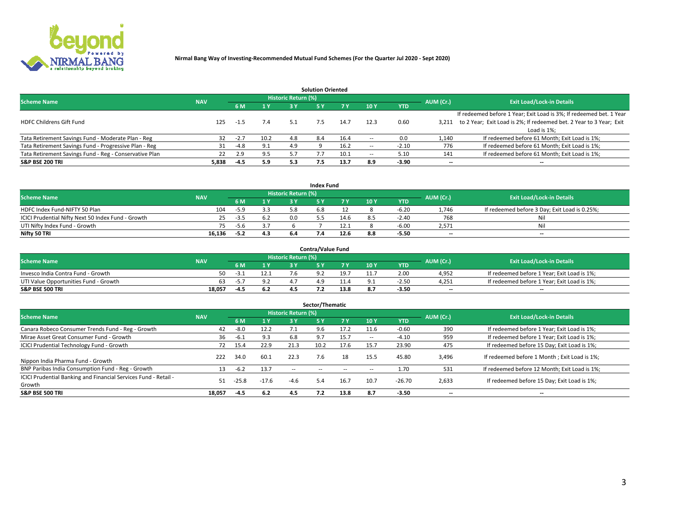

|                                                        |            |            |      |                            | <b>Solution Oriented</b> |      |                          |            |                          |                                                                     |
|--------------------------------------------------------|------------|------------|------|----------------------------|--------------------------|------|--------------------------|------------|--------------------------|---------------------------------------------------------------------|
| <b>Scheme Name</b>                                     | <b>NAV</b> |            |      | <b>Historic Return (%)</b> |                          |      |                          |            | AUM (Cr.)                | <b>Exit Load/Lock-in Details</b>                                    |
|                                                        |            | <b>6 M</b> | 1 Y  | 3 Y                        |                          |      | 10Y                      | <b>YTD</b> |                          |                                                                     |
|                                                        |            |            |      |                            |                          |      |                          |            |                          | If redeemed before 1 Year; Exit Load is 3%; If redeemed bet. 1 Year |
| <b>HDFC Childrens Gift Fund</b>                        | 125        | $-1.5$     | 7.4  | 5.1                        |                          | 14.7 | 12.3                     | 0.60       | 3.211                    | to 2 Year; Exit Load is 2%; If redeemed bet. 2 Year to 3 Year; Exit |
|                                                        |            |            |      |                            |                          |      |                          |            |                          | Load is 1%;                                                         |
| Tata Retirement Savings Fund - Moderate Plan - Reg     | 32         | $-2.7$     | 10.2 | 4.8                        | 8.4                      | 16.4 | --                       | 0.0        | 1,140                    | If redeemed before 61 Month; Exit Load is 1%;                       |
| Tata Retirement Savings Fund - Progressive Plan - Reg  | 31         | -4.8       | 9.1  | 4.9                        |                          | 16.2 | $\overline{\phantom{a}}$ | $-2.10$    | 776                      | If redeemed before 61 Month; Exit Load is 1%;                       |
| Tata Retirement Savings Fund - Reg - Conservative Plan | 22         | 2.9        | 9.5  |                            |                          | 10.1 | --                       | 5.10       | 141                      | If redeemed before 61 Month; Exit Load is 1%;                       |
| S&P BSE 200 TRI                                        | 5,838      | $-4.5$     | 5.9  | 5.3                        | 7.5                      | 13.7 | 8.9                      | $-3.90$    | $\overline{\phantom{a}}$ | $- -$                                                               |

|                                                    |            |        |                |                            | <b>Index Fund</b> |      |      |            |                          |                                               |
|----------------------------------------------------|------------|--------|----------------|----------------------------|-------------------|------|------|------------|--------------------------|-----------------------------------------------|
| <b>Scheme Name</b>                                 | <b>NAV</b> |        |                | <b>Historic Return (%)</b> |                   |      |      |            | AUM (Cr.)                | <b>Exit Load/Lock-in Details</b>              |
|                                                    |            |        | $\sqrt{1}$ $V$ | 2 V                        |                   | 7 V  | 10 Y | <b>YTD</b> |                          |                                               |
| HDFC Index Fund-NIFTY 50 Plan                      | 104        | -5.9   |                |                            |                   |      |      | $-6.20$    | 1.746                    | If redeemed before 3 Day; Exit Load is 0.25%; |
| ICICI Prudential Nifty Next 50 Index Fund - Growth |            | $-3.5$ |                | n n                        |                   | 14.6 |      | $-2.40$    | 768                      | Nil                                           |
| UTI Nifty Index Fund - Growth                      |            | -5.6   |                |                            |                   | 12.1 |      | $-6.00$    | 2,571                    | Nil                                           |
| Nifty 50 TRI                                       | 16,136     | $-5.2$ | 4.3            |                            |                   | 12.6 |      | $-5.50$    | $\overline{\phantom{a}}$ | $- -$                                         |

|                                       |            |      |      |                            | <b>Contra/Value Fund</b> |      |     |            |                          |                                             |
|---------------------------------------|------------|------|------|----------------------------|--------------------------|------|-----|------------|--------------------------|---------------------------------------------|
| <b>Scheme Name</b>                    | <b>NAV</b> |      |      | <b>Historic Return (%)</b> |                          |      |     |            | AUM (Cr.)                | <b>Exit Load/Lock-in Details</b>            |
|                                       |            |      | 1 V  |                            |                          | 7 V  | 10Y | <b>YTD</b> |                          |                                             |
| Invesco India Contra Fund - Growth    | 50         | $-1$ | 12.1 |                            |                          | 19.7 |     | 2.00       | 4,952                    | If redeemed before 1 Year; Exit Load is 1%; |
| UTI Value Opportunities Fund - Growth | 63         | -5., |      |                            |                          |      |     | $-2.5C$    | 4,251                    | If redeemed before 1 Year; Exit Load is 1%; |
| <b>S&amp;P BSE 500 TRI</b>            | 18.057     | -4.5 |      |                            |                          | 13.8 |     | $-3.50$    | $\overline{\phantom{a}}$ | $- -$                                       |

| Sector/Thematic                                                           |            |        |                |                     |            |        |                          |            |           |                                               |  |  |  |
|---------------------------------------------------------------------------|------------|--------|----------------|---------------------|------------|--------|--------------------------|------------|-----------|-----------------------------------------------|--|--|--|
| <b>Scheme Name</b>                                                        | <b>NAV</b> |        |                | Historic Return (%) |            |        |                          |            | AUM (Cr.) | <b>Exit Load/Lock-in Details</b>              |  |  |  |
|                                                                           |            | 6 M    | 1 <sub>Y</sub> | 3 Y                 | <b>5Y</b>  | 7 Y    | 10Y                      | <b>YTD</b> |           |                                               |  |  |  |
| Canara Robeco Consumer Trends Fund - Reg - Growth                         | 42         | $-8.0$ | 12.2           |                     | 9.6        | 17.2   | 11.6                     | $-0.60$    | 390       | If redeemed before 1 Year; Exit Load is 1%;   |  |  |  |
| Mirae Asset Great Consumer Fund - Growth                                  | 36         | $-6.1$ | 9.3            | 6.8                 | 9.7        | 15.7   | $\overline{\phantom{a}}$ | $-4.10$    | 959       | If redeemed before 1 Year; Exit Load is 1%;   |  |  |  |
| <b>ICICI Prudential Technology Fund - Growth</b>                          | 72         | 15.4   | 22.9           | 21.3                | 10.2       | 17.6   | 15.7                     | 23.90      | 475       | If redeemed before 15 Day; Exit Load is 1%;   |  |  |  |
| Nippon India Pharma Fund - Growth                                         | 222        | 34.0   | 60.1           | 22.3                | 7.6        | 18     | 15.5                     | 45.80      | 3,496     | If redeemed before 1 Month; Exit Load is 1%;  |  |  |  |
| BNP Paribas India Consumption Fund - Reg - Growth                         | 13         | $-6.2$ | 13.7           | $\sim$ $\sim$       | $\sim$ $-$ | $\sim$ | $\sim$                   | 1.70       | 531       | If redeemed before 12 Month; Exit Load is 1%; |  |  |  |
| ICICI Prudential Banking and Financial Services Fund - Retail -<br>Growth | 51         | -25.8  | $-17.6$        | $-4.6$              | 5.4        | 16.7   | 10.7                     | $-26.70$   | 2,633     | If redeemed before 15 Day; Exit Load is 1%;   |  |  |  |
| <b>S&amp;P BSE 500 TRI</b>                                                | 18.057     | -4.5   | 6.2            | 4.5                 | 7.2        | 13.8   | 8.7                      | $-3.50$    | --        | $- -$                                         |  |  |  |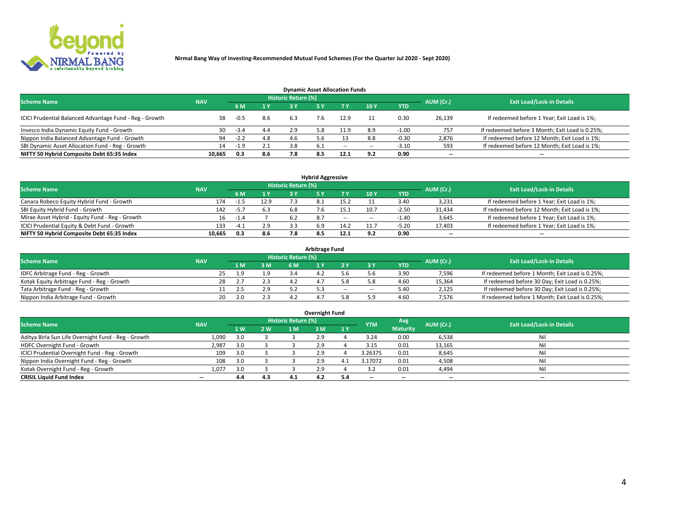

| <b>Dynamic Asset Allocation Funds</b>                   |            |        |     |                            |     |        |     |            |                          |                                                 |  |  |  |  |
|---------------------------------------------------------|------------|--------|-----|----------------------------|-----|--------|-----|------------|--------------------------|-------------------------------------------------|--|--|--|--|
| <b>Scheme Name</b>                                      | <b>NAV</b> |        |     | <b>Historic Return (%)</b> |     |        |     |            | AUM (Cr.)                | <b>Exit Load/Lock-in Details</b>                |  |  |  |  |
|                                                         |            | 6 M    | 1 Y | 3 Y                        |     |        | 10Y | <b>YTD</b> |                          |                                                 |  |  |  |  |
| ICICI Prudential Balanced Advantage Fund - Reg - Growth | 38         | $-0.5$ | 8.6 | 6.3                        | 7.6 | 12.9   |     | 0.30       | 26,139                   | If redeemed before 1 Year; Exit Load is 1%;     |  |  |  |  |
| Invesco India Dynamic Equity Fund - Growth              | 30         | $-3.4$ | 4.4 | 2.9                        | 5.8 | 11.9   | 8.9 | $-1.00$    | 757                      | If redeemed before 3 Month; Exit Load is 0.25%; |  |  |  |  |
| Nippon India Balanced Advantage Fund - Growth           | 94         | $-2.2$ | 4.8 | 4.b                        |     |        |     | $-0.30$    | 2,876                    | If redeemed before 12 Month; Exit Load is 1%;   |  |  |  |  |
| SBI Dynamic Asset Allocation Fund - Reg - Growth        | 14         | $-1.9$ | 2.1 | 3.8                        | 6.1 | $\sim$ | --  | $-3.10$    | 593                      | If redeemed before 12 Month; Exit Load is 1%;   |  |  |  |  |
| NIFTY 50 Hybrid Composite Debt 65:35 Index              | 10,665     | 0.3    | 8.6 | 7.8                        | 8.5 | 12.1   | 9.2 | 0.90       | $\overline{\phantom{a}}$ | $- -$                                           |  |  |  |  |

| <b>Hybrid Aggressive</b>                        |                                                                                                          |        |      |     |  |         |                          |            |                          |                                               |  |  |  |  |  |
|-------------------------------------------------|----------------------------------------------------------------------------------------------------------|--------|------|-----|--|---------|--------------------------|------------|--------------------------|-----------------------------------------------|--|--|--|--|--|
|                                                 | Historic Return (%)<br><b>Exit Load/Lock-in Details</b><br><b>Scheme Name</b><br>AUM (Cr.)<br><b>NAV</b> |        |      |     |  |         |                          |            |                          |                                               |  |  |  |  |  |
|                                                 |                                                                                                          | 6 M    | 1 Y  | RУ  |  |         | 10Y                      | <b>YTD</b> |                          |                                               |  |  |  |  |  |
| Canara Robeco Equity Hybrid Fund - Growth       | 174                                                                                                      | -1.5   | 12.9 |     |  | 15.5    |                          | 3.40       | 3,231                    | If redeemed before 1 Year; Exit Load is 1%;   |  |  |  |  |  |
| SBI Equity Hybrid Fund - Growth                 | 142                                                                                                      | $-5.7$ | 6.3  | 6.8 |  | I. 5. 1 | 10.7                     | $-2.50$    | 31,434                   | If redeemed before 12 Month; Exit Load is 1%; |  |  |  |  |  |
| Mirae Asset Hybrid - Equity Fund - Reg - Growth | 16                                                                                                       | -1.4   |      |     |  | $\sim$  | $\overline{\phantom{a}}$ | $-1.40$    | 3,645                    | If redeemed before 1 Year; Exit Load is 1%;   |  |  |  |  |  |
| ICICI Prudential Equity & Debt Fund - Growth    | 133                                                                                                      | $-4.1$ | 2.9  |     |  | 14.2    | 11.7                     | $-5.20$    | 17,403                   | If redeemed before 1 Year; Exit Load is 1%;   |  |  |  |  |  |
| NIFTY 50 Hybrid Composite Debt 65:35 Index      | 10.665                                                                                                   | 0.3    | 8.6  |     |  |         |                          | 0.90       | $\overline{\phantom{a}}$ | $- -$                                         |  |  |  |  |  |

| <b>Arbitrage Fund</b>                      |            |                                  |     |     |  |  |        |    |            |        |                                                 |  |  |  |
|--------------------------------------------|------------|----------------------------------|-----|-----|--|--|--------|----|------------|--------|-------------------------------------------------|--|--|--|
| <b>Scheme Name</b>                         | AUM (Cr.)  | <b>Exit Load/Lock-in Details</b> |     |     |  |  |        |    |            |        |                                                 |  |  |  |
|                                            | <b>NAV</b> |                                  | 4 M | 3 M |  |  |        |    | <b>YTD</b> |        |                                                 |  |  |  |
| IDFC Arbitrage Fund - Reg - Growth         |            |                                  | و ب | 1.9 |  |  |        |    | 3.9C       | 7,596  | If redeemed before 1 Month; Exit Load is 0.25%; |  |  |  |
| Kotak Equity Arbitrage Fund - Reg - Growth |            | 28                               |     | 2.3 |  |  |        |    | 4.60       | 15,364 | If redeemed before 30 Day; Exit Load is 0.25%;  |  |  |  |
| Tata Arbitrage Fund - Reg - Growth         |            |                                  |     | 2.9 |  |  | $\sim$ | -- | 5.40       | 2,125  | If redeemed before 30 Day; Exit Load is 0.25%;  |  |  |  |
| Nippon India Arbitrage Fund - Growth       |            | 20                               | 2.0 | 2.3 |  |  |        |    | 4.60       | 7.576  | If redeemed before 1 Month; Exit Load is 0.25%; |  |  |  |

| Overnight Fund                                      |            |     |     |                            |     |     |            |                 |                          |                                  |  |  |  |  |
|-----------------------------------------------------|------------|-----|-----|----------------------------|-----|-----|------------|-----------------|--------------------------|----------------------------------|--|--|--|--|
| <b>Scheme Name</b>                                  | <b>NAV</b> |     |     | <b>Historic Return (%)</b> |     |     | <b>YTM</b> | Avg             | AUM (Cr.)                | <b>Exit Load/Lock-in Details</b> |  |  |  |  |
|                                                     |            | 1 W | 2 W | 1 M                        | 3 M | 1Y  |            | <b>Maturity</b> |                          |                                  |  |  |  |  |
| Aditya Birla Sun Life Overnight Fund - Reg - Growth | 1,090      |     |     |                            | 2.9 |     | 3.24       | 0.00            | 6,538                    | Nil                              |  |  |  |  |
| HDFC Overnight Fund - Growth                        | 2,987      |     |     |                            | 2.9 |     | 3.15       | 0.01            | 13,165                   | Nil                              |  |  |  |  |
| ICICI Prudential Overnight Fund - Reg - Growth      | 109        |     |     |                            | 2.9 |     | 3.26375    | 0.01            | 8,645                    | Nil                              |  |  |  |  |
| Nippon India Overnight Fund - Reg - Growth          | 108        | 3.0 |     |                            | 2.9 | 4   | 3.17072    | 0.01            | 4,508                    | Nil                              |  |  |  |  |
| Kotak Overnight Fund - Reg - Growth                 | 1.077      |     |     |                            | 2.9 |     |            | 0.01            | 4,494                    | Nil                              |  |  |  |  |
| <b>CRISIL Liquid Fund Index</b>                     | $- -$      | 4.4 | 4.3 | 4.1                        | 4.2 | 5.4 | --         | $- -$           | $\overline{\phantom{a}}$ | --                               |  |  |  |  |

### **Overnight Fund**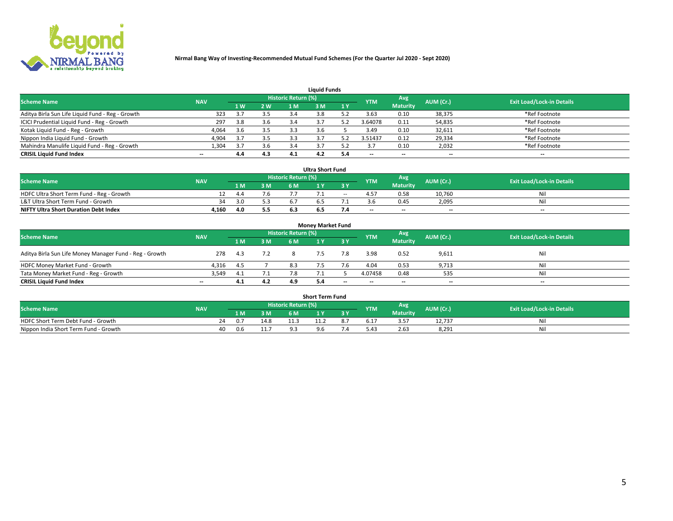

| <b>Liquid Funds</b>                              |                                  |     |     |     |     |     |            |                 |           |                          |  |  |  |  |
|--------------------------------------------------|----------------------------------|-----|-----|-----|-----|-----|------------|-----------------|-----------|--------------------------|--|--|--|--|
| <b>Scheme Name</b>                               | <b>Exit Load/Lock-in Details</b> |     |     |     |     |     |            |                 |           |                          |  |  |  |  |
|                                                  | <b>NAV</b>                       | 4W  | 2 W | 1 M | M   | 1 Y | <b>YTM</b> | <b>Maturity</b> | AUM (Cr.) |                          |  |  |  |  |
| Aditya Birla Sun Life Liquid Fund - Reg - Growth | 323                              |     | 3.5 |     |     |     | 3.63       | 0.10            | 38,375    | *Ref Footnote            |  |  |  |  |
| ICICI Prudential Liquid Fund - Reg - Growth      | 297                              | 3.8 | 3.6 | 3.4 |     |     | 3.64078    | 0.11            | 54,835    | *Ref Footnote            |  |  |  |  |
| Kotak Liquid Fund - Reg - Growth                 | 4,064                            | 3.6 | 3.5 |     |     |     | 3.49       | 0.10            | 32,611    | *Ref Footnote            |  |  |  |  |
| Nippon India Liquid Fund - Growth                | 4,904                            | 3.7 | 3.5 |     |     |     | 3.51437    | 0.12            | 29,334    | *Ref Footnote            |  |  |  |  |
| Mahindra Manulife Liquid Fund - Reg - Growth     | 1,304                            | 3.7 | 3.6 |     |     |     |            | 0.10            | 2,032     | *Ref Footnote            |  |  |  |  |
| <b>CRISIL Liquid Fund Index</b>                  | $- -$                            | 4.4 | 4.3 | 4.1 | 4.2 |     | --         | $- -$           | --        | $\overline{\phantom{a}}$ |  |  |  |  |

| <b>Ultra Short Fund</b>                      |            |      |     |                     |     |       |            |                 |                          |                                  |  |  |  |  |
|----------------------------------------------|------------|------|-----|---------------------|-----|-------|------------|-----------------|--------------------------|----------------------------------|--|--|--|--|
| <b>Scheme Name</b>                           | <b>NAV</b> |      |     | Historic Return (%) |     |       | <b>YTM</b> | Avg             | AUM (Cr.)                | <b>Exit Load/Lock-in Details</b> |  |  |  |  |
|                                              |            | 1 M. | 3 M | 6 M                 | ΙY  | 3 Y   |            | <b>Maturity</b> |                          |                                  |  |  |  |  |
| HDFC Ultra Short Term Fund - Reg - Growth    |            | 4.4  | 7.6 |                     |     | $- -$ |            | 0.58            | 10,760                   | Ni                               |  |  |  |  |
| L&T Ultra Short Term Fund - Growth           | 34         | 3.0  |     |                     |     |       |            | 0.45            | 2.095                    | Ni                               |  |  |  |  |
| <b>NIFTY Ultra Short Duration Debt Index</b> | 4,160      |      | 5.5 |                     | 6.5 |       | $-$        | $- -$           | $\overline{\phantom{a}}$ | $- -$                            |  |  |  |  |

| <b>Money Market Fund</b>                                |            |      |     |                     |  |       |                          |                 |                          |                                  |  |  |  |  |
|---------------------------------------------------------|------------|------|-----|---------------------|--|-------|--------------------------|-----------------|--------------------------|----------------------------------|--|--|--|--|
| <b>Scheme Name</b>                                      | <b>NAV</b> |      |     | Historic Return (%) |  |       | <b>YTM</b>               | Avg             | AUM (Cr.)                | <b>Exit Load/Lock-in Details</b> |  |  |  |  |
|                                                         |            | 1 M  | 3 M | 6 M                 |  | 3 Y   |                          | <b>Maturity</b> |                          |                                  |  |  |  |  |
| Aditya Birla Sun Life Money Manager Fund - Reg - Growth | 278        | -4.3 | 7.2 |                     |  | 7.8   | 3.98                     | 0.52            | 9,611                    | Nil                              |  |  |  |  |
| HDFC Money Market Fund - Growth                         | 4.316      | -4.5 |     | 8.3                 |  |       | 4.04                     | 0.53            | 9,713                    | Nil                              |  |  |  |  |
| Tata Money Market Fund - Reg - Growth                   | 3,549      | 4.1  |     |                     |  |       | 4.07458                  | 0.48            | 535                      | Nil                              |  |  |  |  |
| <b>CRISIL Liquid Fund Index</b>                         | $- -$      | 4.1  | 4.2 | 4.9                 |  | $- -$ | $\overline{\phantom{a}}$ | $- -$           | $\overline{\phantom{a}}$ | $\overline{\phantom{a}}$         |  |  |  |  |

|                                       |            |     |      |                     | <b>Short Term Fund</b> |     |                  |                 |           |                                  |
|---------------------------------------|------------|-----|------|---------------------|------------------------|-----|------------------|-----------------|-----------|----------------------------------|
| <b>Scheme Name</b>                    | <b>NAV</b> |     |      | Historic Return (%) |                        |     | <b>YTM</b>       | Avg             | AUM (Cr.) | <b>Exit Load/Lock-in Details</b> |
|                                       |            | l M | 3 M  |                     |                        | 3 Y |                  | <b>Maturity</b> |           |                                  |
| HDFC Short Term Debt Fund - Growth    |            |     | 14.8 |                     |                        |     | b. 1             | 3.57            | 12.737    | Nıl                              |
| Nippon India Short Term Fund - Growth | 40         | J.h | 11.  | ດ :                 | Q <sub>6</sub>         |     | 0.4 <sup>1</sup> | 2.63            | 8.291     | Nil                              |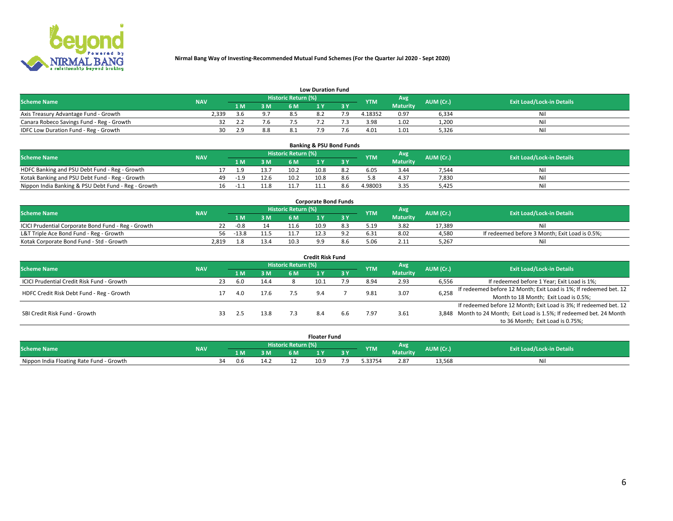

|                                           | <b>Low Duration Fund</b> |       |     |                     |          |     |            |                 |           |                                  |  |  |  |  |  |
|-------------------------------------------|--------------------------|-------|-----|---------------------|----------|-----|------------|-----------------|-----------|----------------------------------|--|--|--|--|--|
| <b>Scheme Name</b>                        | <b>NAV</b>               |       |     | Historic Return (%) |          |     | <b>YTM</b> | <b>Avg</b>      | AUM (Cr.) | <b>Exit Load/Lock-in Details</b> |  |  |  |  |  |
|                                           |                          | 1 M.  | 3 M | 6 M                 |          | 2 V |            | <b>Maturity</b> |           |                                  |  |  |  |  |  |
| Axis Treasury Advantage Fund - Growth     | 2.339                    | ิ ร ค | 9.7 |                     | $\Omega$ |     | 4.18352    | 0.97            | 6,334     | Nil                              |  |  |  |  |  |
| Canara Robeco Savings Fund - Reg - Growth |                          |       |     |                     |          |     | 3.98       | 1.02            | 1,200     | Nil                              |  |  |  |  |  |
| IDFC Low Duration Fund - Reg - Growth     | 30                       | ን ዓ   | 8.8 |                     |          |     | 4.01       | 1.01            | 5,326     | Nil                              |  |  |  |  |  |

| <b>Banking &amp; PSU Bond Funds</b>                                                                                           |  |     |        |      |      |      |     |         |                 |       |    |  |  |  |
|-------------------------------------------------------------------------------------------------------------------------------|--|-----|--------|------|------|------|-----|---------|-----------------|-------|----|--|--|--|
| Historic Return (%)<br>Avg<br><b>Exit Load/Lock-in Details</b><br>AUM (Cr.)<br><b>Scheme Name</b><br><b>NAV</b><br><b>YTM</b> |  |     |        |      |      |      |     |         |                 |       |    |  |  |  |
|                                                                                                                               |  |     | 1 M    | 3 M  | 6 M  |      | 3 Y |         | <b>Maturity</b> |       |    |  |  |  |
| HDFC Banking and PSU Debt Fund - Reg - Growth                                                                                 |  |     |        | 13.7 | 10.2 | 10.8 | 8.2 | 6.05    | 3.44            | 7,544 | Νi |  |  |  |
| Kotak Banking and PSU Debt Fund - Reg - Growth                                                                                |  | 49. | $-1.9$ | 12.6 | 10.2 | 10.8 | 8.6 |         | 4.37            | 7,830 | Ni |  |  |  |
| Nippon India Banking & PSU Debt Fund - Reg - Growth                                                                           |  | 16  | $-1$   |      |      |      |     | 4.98003 | 3.35            | 5.425 | Ni |  |  |  |

| <b>Corporate Bond Funds</b>                         |            |         |      |                            |      |  |            |          |           |                                                |  |  |  |  |
|-----------------------------------------------------|------------|---------|------|----------------------------|------|--|------------|----------|-----------|------------------------------------------------|--|--|--|--|
| <b>Scheme Name</b>                                  | <b>NAV</b> |         |      | <b>Historic Return (%)</b> |      |  | <b>YTM</b> | Avg      | AUM (Cr.) | <b>Exit Load/Lock-in Details</b>               |  |  |  |  |
|                                                     |            |         | 3 M  | 6 M.                       |      |  |            | Maturity |           |                                                |  |  |  |  |
| ICICI Prudential Corporate Bond Fund - Reg - Growth |            | -0.8    |      |                            | 10.9 |  | 5.19       | 3.82     | 17.389    | Nil                                            |  |  |  |  |
| L&T Triple Ace Bond Fund - Reg - Growth             | 56         | $-13.8$ |      |                            |      |  | 6.31       | 8.02     | 4,580     | If redeemed before 3 Month; Exit Load is 0.5%; |  |  |  |  |
| Kotak Corporate Bond Fund - Std - Growth            | 2.819      |         | 13.4 | 10.3                       |      |  |            | 2.11     | 5,267     | Nil                                            |  |  |  |  |

| <b>Credit Risk Fund</b>                    |            |    |     |      |                     |      |           |            |                 |           |                                                                       |  |  |  |
|--------------------------------------------|------------|----|-----|------|---------------------|------|-----------|------------|-----------------|-----------|-----------------------------------------------------------------------|--|--|--|
| <b>Scheme Name</b>                         | <b>NAV</b> |    |     |      | Historic Return (%) |      |           | <b>YTM</b> | <b>Avg</b>      | AUM (Cr.) | <b>Exit Load/Lock-in Details</b>                                      |  |  |  |
|                                            |            |    | 1 M | 3 M  | 6 M                 |      | <b>3Y</b> |            | <b>Maturity</b> |           |                                                                       |  |  |  |
| ICICI Prudential Credit Risk Fund - Growth |            | 23 | 6.0 | 14.4 |                     | 10.1 | ם ל       | 8.94       | 2.93            | 6,556     | If redeemed before 1 Year; Exit Load is 1%;                           |  |  |  |
| HDFC Credit Risk Debt Fund - Reg - Growth  |            |    | 4.0 | 17.6 |                     | 9.4  |           | 9.81       | 3.07            | 6,258     | If redeemed before 12 Month; Exit Load is 1%; If redeemed bet. 12     |  |  |  |
|                                            |            |    |     |      |                     |      |           |            |                 |           | Month to 18 Month; Exit Load is 0.5%;                                 |  |  |  |
|                                            |            |    |     |      |                     |      |           |            |                 |           | If redeemed before 12 Month; Exit Load is 3%; If redeemed bet. 12     |  |  |  |
| SBI Credit Risk Fund - Growth              |            |    |     | 13.8 |                     |      | 6.6       | 7.97       | 3.61            |           | 3,848 Month to 24 Month; Exit Load is 1.5%; If redeemed bet. 24 Month |  |  |  |
|                                            |            |    |     |      |                     |      |           |            |                 |           | to 36 Month; Exit Load is 0.75%;                                      |  |  |  |

| <b>Floater Fund</b>                      |            |    |                       |      |     |      |     |            |                 |           |                                  |
|------------------------------------------|------------|----|-----------------------|------|-----|------|-----|------------|-----------------|-----------|----------------------------------|
| <b>Scheme Name</b>                       | <b>NAV</b> |    | Historic Return (%) \ |      |     |      |     |            | Avg             | AUM (Cr.) | <b>Exit Load/Lock-in Details</b> |
|                                          |            |    | 1 M                   | ЗM   | 6 M | .    | .   | <b>YTM</b> | <b>Maturity</b> |           |                                  |
| Nippon India Floating Rate Fund - Growth |            | 34 | 0.6                   | 14.2 |     | 10.9 | ۰.9 | .33754     | 2.87            | 13,568    | NL                               |